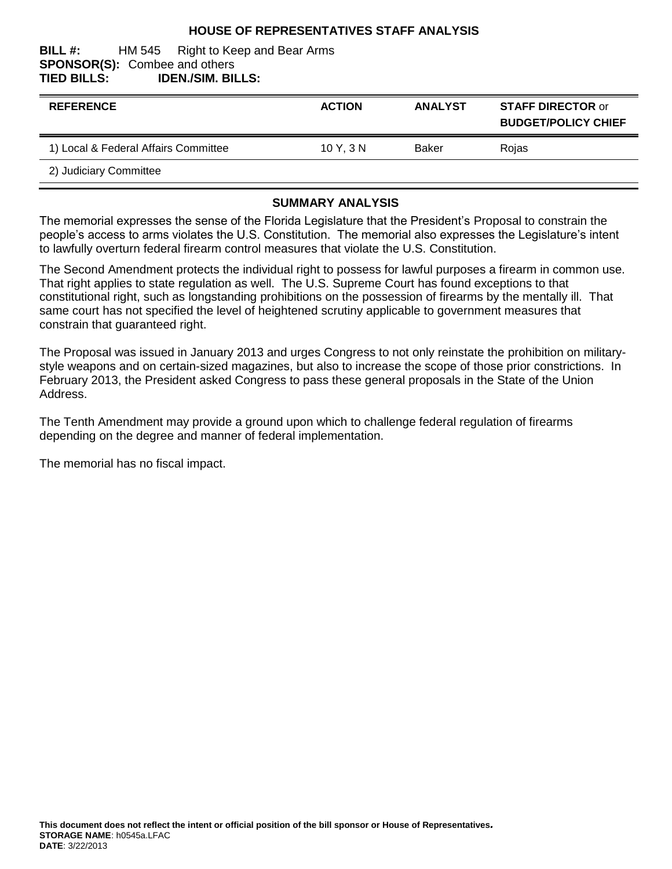## **HOUSE OF REPRESENTATIVES STAFF ANALYSIS**

#### **BILL #:** HM 545 Right to Keep and Bear Arms **SPONSOR(S):** Combee and others **TIED BILLS: IDEN./SIM. BILLS:**

| <b>REFERENCE</b>                     | <b>ACTION</b> | <b>ANALYST</b> | <b>STAFF DIRECTOR or</b><br><b>BUDGET/POLICY CHIEF</b> |
|--------------------------------------|---------------|----------------|--------------------------------------------------------|
| 1) Local & Federal Affairs Committee | 10Y.3N        | Baker          | Rojas                                                  |
| 2) Judiciary Committee               |               |                |                                                        |

### **SUMMARY ANALYSIS**

The memorial expresses the sense of the Florida Legislature that the President's Proposal to constrain the people's access to arms violates the U.S. Constitution. The memorial also expresses the Legislature's intent to lawfully overturn federal firearm control measures that violate the U.S. Constitution.

The Second Amendment protects the individual right to possess for lawful purposes a firearm in common use. That right applies to state regulation as well. The U.S. Supreme Court has found exceptions to that constitutional right, such as longstanding prohibitions on the possession of firearms by the mentally ill. That same court has not specified the level of heightened scrutiny applicable to government measures that constrain that guaranteed right.

The Proposal was issued in January 2013 and urges Congress to not only reinstate the prohibition on militarystyle weapons and on certain-sized magazines, but also to increase the scope of those prior constrictions. In February 2013, the President asked Congress to pass these general proposals in the State of the Union Address.

The Tenth Amendment may provide a ground upon which to challenge federal regulation of firearms depending on the degree and manner of federal implementation.

The memorial has no fiscal impact.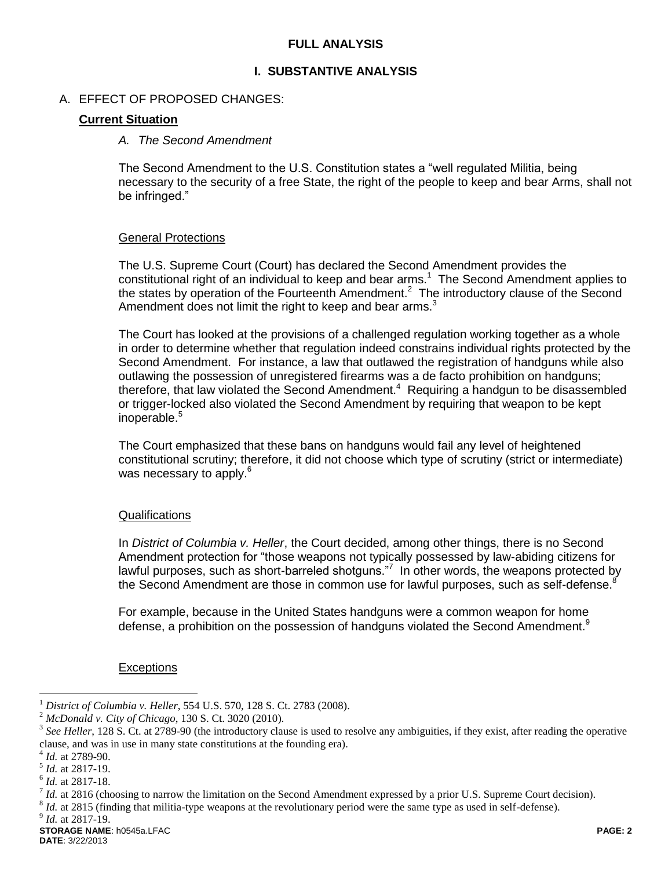## **FULL ANALYSIS**

### **I. SUBSTANTIVE ANALYSIS**

### A. EFFECT OF PROPOSED CHANGES:

### **Current Situation**

#### *A. The Second Amendment*

The Second Amendment to the U.S. Constitution states a "well regulated Militia, being necessary to the security of a free State, the right of the people to keep and bear Arms, shall not be infringed."

#### General Protections

The U.S. Supreme Court (Court) has declared the Second Amendment provides the constitutional right of an individual to keep and bear arms.<sup>1</sup> The Second Amendment applies to the states by operation of the Fourteenth Amendment.<sup>2</sup> The introductory clause of the Second Amendment does not limit the right to keep and bear arms. $3$ 

The Court has looked at the provisions of a challenged regulation working together as a whole in order to determine whether that regulation indeed constrains individual rights protected by the Second Amendment. For instance, a law that outlawed the registration of handguns while also outlawing the possession of unregistered firearms was a de facto prohibition on handguns; therefore, that law violated the Second Amendment. $4$  Requiring a handgun to be disassembled or trigger-locked also violated the Second Amendment by requiring that weapon to be kept inoperable. $5$ 

The Court emphasized that these bans on handguns would fail any level of heightened constitutional scrutiny; therefore, it did not choose which type of scrutiny (strict or intermediate) was necessary to apply.<sup>6</sup>

#### **Qualifications**

In *District of Columbia v. Heller*, the Court decided, among other things, there is no Second Amendment protection for "those weapons not typically possessed by law-abiding citizens for lawful purposes, such as short-barreled shotguns."<sup>7</sup> In other words, the weapons protected by the Second Amendment are those in common use for lawful purposes, such as self-defense. $8$ 

For example, because in the United States handguns were a common weapon for home defense, a prohibition on the possession of handguns violated the Second Amendment.<sup>9</sup>

#### **Exceptions**

 $\overline{a}$ 

<sup>&</sup>lt;sup>1</sup> *District of Columbia v. Heller*, 554 U.S. 570, 128 S. Ct. 2783 (2008).

<sup>2</sup> *McDonald v. City of Chicago*, 130 S. Ct. 3020 (2010).

<sup>3</sup> *See Heller*, 128 S. Ct. at 2789-90 (the introductory clause is used to resolve any ambiguities, if they exist, after reading the operative clause, and was in use in many state constitutions at the founding era).

<sup>4</sup> *Id.* at 2789-90.

<sup>5</sup> *Id.* at 2817-19.

<sup>6</sup> *Id.* at 2817-18. 7

*Id.* at 2816 (choosing to narrow the limitation on the Second Amendment expressed by a prior U.S. Supreme Court decision).

 $^{8}$  *Id.* at 2815 (finding that militia-type weapons at the revolutionary period were the same type as used in self-defense).

<sup>9</sup> *Id.* at 2817-19.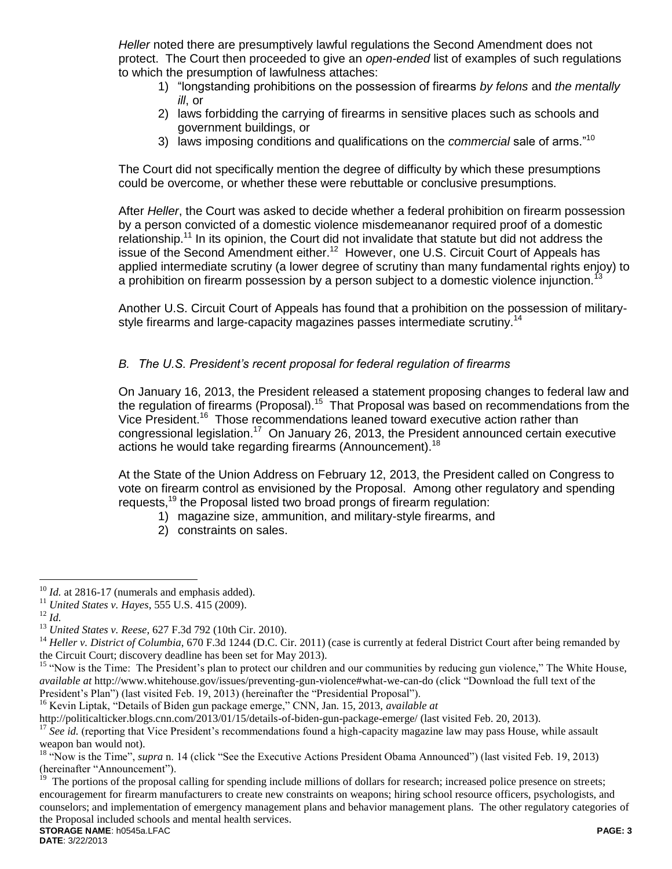*Heller* noted there are presumptively lawful regulations the Second Amendment does not protect. The Court then proceeded to give an *open-ended* list of examples of such regulations to which the presumption of lawfulness attaches:

- 1) "longstanding prohibitions on the possession of firearms *by felons* and *the mentally ill*, or
- 2) laws forbidding the carrying of firearms in sensitive places such as schools and government buildings, or
- 3) laws imposing conditions and qualifications on the *commercial* sale of arms."<sup>10</sup>

The Court did not specifically mention the degree of difficulty by which these presumptions could be overcome, or whether these were rebuttable or conclusive presumptions.

After *Heller*, the Court was asked to decide whether a federal prohibition on firearm possession by a person convicted of a domestic violence misdemeananor required proof of a domestic relationship.<sup>11</sup> In its opinion, the Court did not invalidate that statute but did not address the issue of the Second Amendment either.<sup>12</sup> However, one U.S. Circuit Court of Appeals has applied intermediate scrutiny (a lower degree of scrutiny than many fundamental rights enjoy) to a prohibition on firearm possession by a person subject to a domestic violence injunction.<sup>13</sup>

Another U.S. Circuit Court of Appeals has found that a prohibition on the possession of militarystyle firearms and large-capacity magazines passes intermediate scrutiny.<sup>14</sup>

# *B. The U.S. President's recent proposal for federal regulation of firearms*

On January 16, 2013, the President released a statement proposing changes to federal law and the regulation of firearms (Proposal).<sup>15</sup> That Proposal was based on recommendations from the Vice President.<sup>16</sup> Those recommendations leaned toward executive action rather than congressional legislation.<sup>17</sup> On January 26, 2013, the President announced certain executive actions he would take regarding firearms (Announcement).<sup>18</sup>

At the State of the Union Address on February 12, 2013, the President called on Congress to vote on firearm control as envisioned by the Proposal. Among other regulatory and spending requests,<sup>19</sup> the Proposal listed two broad prongs of firearm regulation:

- 1) magazine size, ammunition, and military-style firearms, and
- 2) constraints on sales.

<sup>16</sup> Kevin Liptak, "Details of Biden gun package emerge," CNN, Jan. 15, 2013, *available at* 

<http://politicalticker.blogs.cnn.com/2013/01/15/details-of-biden-gun-package-emerge/> (last visited Feb. 20, 2013).

**STORAGE NAME**: h0545a.LFAC **PAGE: 3** 19 The portions of the proposal calling for spending include millions of dollars for research; increased police presence on streets; encouragement for firearm manufacturers to create new constraints on weapons; hiring school resource officers, psychologists, and counselors; and implementation of emergency management plans and behavior management plans. The other regulatory categories of the Proposal included schools and mental health services.

 $\overline{a}$ <sup>10</sup> *Id.* at 2816-17 (numerals and emphasis added).

<sup>11</sup> *United States v. Hayes*, 555 U.S. 415 (2009).

<sup>12</sup> *Id.*

<sup>13</sup> *United States v. Reese*, 627 F.3d 792 (10th Cir. 2010).

<sup>&</sup>lt;sup>14</sup> *Heller v. District of Columbia*, 670 F.3d 1244 (D.C. Cir. 2011) (case is currently at federal District Court after being remanded by the Circuit Court; discovery deadline has been set for May 2013).

<sup>&</sup>lt;sup>15</sup> "Now is the Time: The President's plan to protect our children and our communities by reducing gun violence," The White House, *available at* http://www.whitehouse.gov/issues/preventing-gun-violence#what-we-can-do (click "Download the full text of the President's Plan") (last visited Feb. 19, 2013) (hereinafter the "Presidential Proposal").

<sup>&</sup>lt;sup>17</sup> See id. (reporting that Vice President's recommendations found a high-capacity magazine law may pass House, while assault weapon ban would not).

<sup>&</sup>lt;sup>18</sup> "Now is the Time", *supra* n. 14 (click "See the Executive Actions President Obama Announced") (last visited Feb. 19, 2013) (hereinafter "Announcement").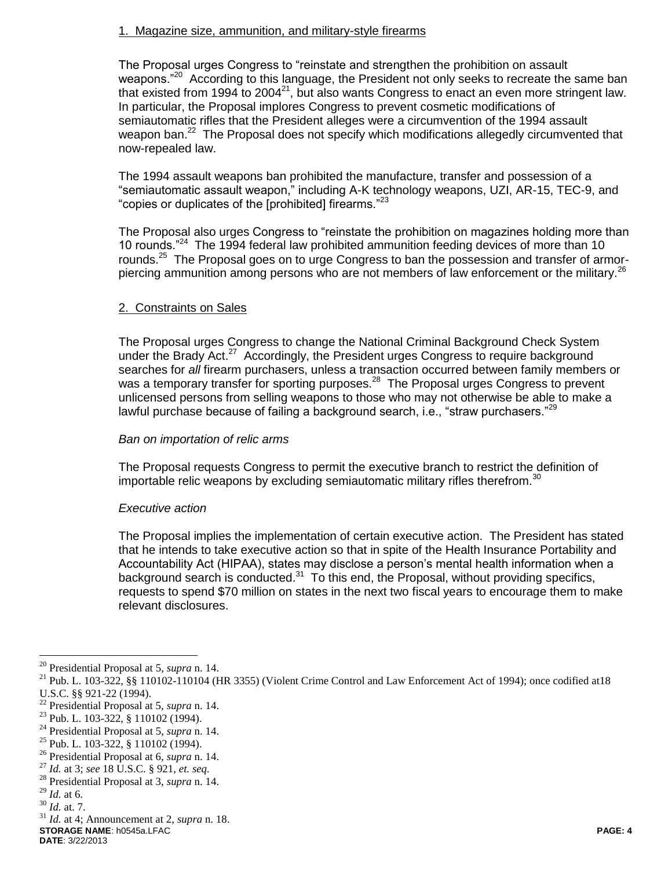## 1. Magazine size, ammunition, and military-style firearms

The Proposal urges Congress to "reinstate and strengthen the prohibition on assault weapons."<sup>20</sup> According to this language, the President not only seeks to recreate the same ban that existed from 1994 to 2004 $^{21}$ , but also wants Congress to enact an even more stringent law. In particular, the Proposal implores Congress to prevent cosmetic modifications of semiautomatic rifles that the President alleges were a circumvention of the 1994 assault weapon ban.<sup>22</sup> The Proposal does not specify which modifications allegedly circumvented that now-repealed law.

The 1994 assault weapons ban prohibited the manufacture, transfer and possession of a "semiautomatic assault weapon," including A-K technology weapons, UZI, AR-15, TEC-9, and "copies or duplicates of the [prohibited] firearms."<sup>23</sup>

The Proposal also urges Congress to "reinstate the prohibition on magazines holding more than 10 rounds."<sup>24</sup> The 1994 federal law prohibited ammunition feeding devices of more than 10 rounds.<sup>25</sup> The Proposal goes on to urge Congress to ban the possession and transfer of armorpiercing ammunition among persons who are not members of law enforcement or the military.<sup>26</sup>

## 2. Constraints on Sales

The Proposal urges Congress to change the National Criminal Background Check System under the Brady Act.<sup>27</sup> Accordingly, the President urges Congress to require background searches for *all* firearm purchasers, unless a transaction occurred between family members or was a temporary transfer for sporting purposes.<sup>28</sup> The Proposal urges Congress to prevent unlicensed persons from selling weapons to those who may not otherwise be able to make a lawful purchase because of failing a background search, i.e., "straw purchasers." $^{29}$ 

## *Ban on importation of relic arms*

The Proposal requests Congress to permit the executive branch to restrict the definition of importable relic weapons by excluding semiautomatic military rifles therefrom.<sup>30</sup>

## *Executive action*

The Proposal implies the implementation of certain executive action. The President has stated that he intends to take executive action so that in spite of the Health Insurance Portability and Accountability Act (HIPAA), states may disclose a person's mental health information when a background search is conducted.<sup>31</sup> To this end, the Proposal, without providing specifics, requests to spend \$70 million on states in the next two fiscal years to encourage them to make relevant disclosures.

 $\overline{a}$ 

**STORAGE NAME**: h0545a.LFAC **PAGE: 4 DATE**: 3/22/2013

<sup>20</sup> Presidential Proposal at 5, *supra* n. 14.

<sup>&</sup>lt;sup>21</sup> Pub. L. 103-322, §§ 110102-110104 (HR 3355) (Violent Crime Control and Law Enforcement Act of 1994); once codified at18 U.S.C. §§ 921-22 (1994).

<sup>22</sup> Presidential Proposal at 5, *supra* n. 14.

<sup>23</sup> Pub. L. 103-322, § 110102 (1994).

<sup>24</sup> Presidential Proposal at 5, *supra* n. 14.

 $^{25}$  Pub. L. 103-322, § 110102 (1994).

<sup>26</sup> Presidential Proposal at 6, *supra* n. 14.

<sup>27</sup> *Id.* at 3; *see* 18 U.S.C. § 921, *et. seq.* 

<sup>28</sup> Presidential Proposal at 3, *supra* n. 14.

<sup>29</sup> *Id.* at 6.

<sup>30</sup> *Id.* at. 7.

<sup>31</sup> *Id.* at 4; Announcement at 2, *supra* n. 18.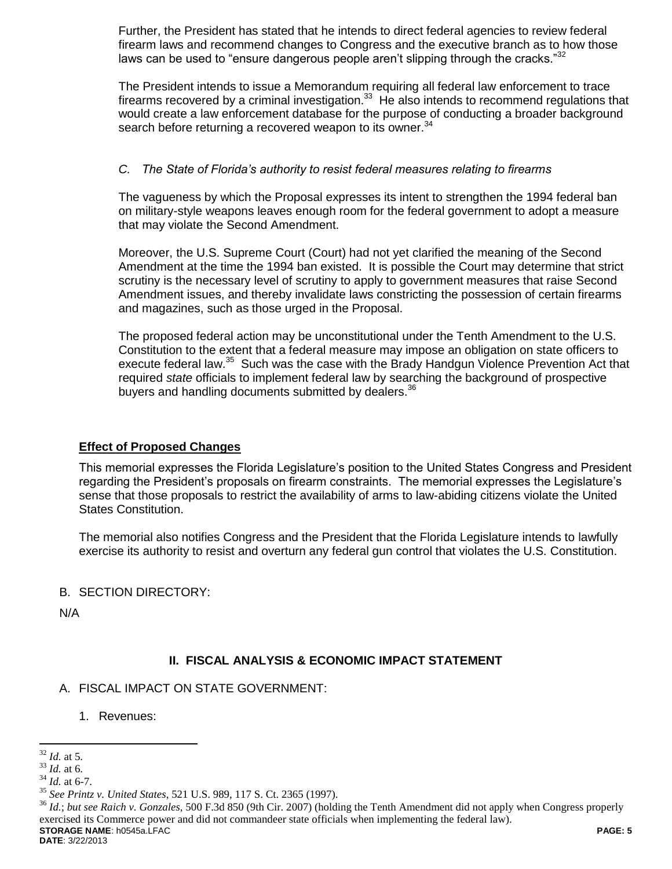Further, the President has stated that he intends to direct federal agencies to review federal firearm laws and recommend changes to Congress and the executive branch as to how those laws can be used to "ensure dangerous people aren't slipping through the cracks." $32$ 

The President intends to issue a Memorandum requiring all federal law enforcement to trace firearms recovered by a criminal investigation. $33$  He also intends to recommend regulations that would create a law enforcement database for the purpose of conducting a broader background search before returning a recovered weapon to its owner. $34$ 

## *C. The State of Florida's authority to resist federal measures relating to firearms*

The vagueness by which the Proposal expresses its intent to strengthen the 1994 federal ban on military-style weapons leaves enough room for the federal government to adopt a measure that may violate the Second Amendment.

Moreover, the U.S. Supreme Court (Court) had not yet clarified the meaning of the Second Amendment at the time the 1994 ban existed. It is possible the Court may determine that strict scrutiny is the necessary level of scrutiny to apply to government measures that raise Second Amendment issues, and thereby invalidate laws constricting the possession of certain firearms and magazines, such as those urged in the Proposal.

The proposed federal action may be unconstitutional under the Tenth Amendment to the U.S. Constitution to the extent that a federal measure may impose an obligation on state officers to execute federal law.<sup>35</sup> Such was the case with the Brady Handgun Violence Prevention Act that required *state* officials to implement federal law by searching the background of prospective buyers and handling documents submitted by dealers.<sup>36</sup>

# **Effect of Proposed Changes**

This memorial expresses the Florida Legislature's position to the United States Congress and President regarding the President's proposals on firearm constraints. The memorial expresses the Legislature's sense that those proposals to restrict the availability of arms to law-abiding citizens violate the United States Constitution.

The memorial also notifies Congress and the President that the Florida Legislature intends to lawfully exercise its authority to resist and overturn any federal gun control that violates the U.S. Constitution.

# B. SECTION DIRECTORY:

N/A

# **II. FISCAL ANALYSIS & ECONOMIC IMPACT STATEMENT**

A. FISCAL IMPACT ON STATE GOVERNMENT:

1. Revenues:

**STORAGE NAME**: h0545a.LFAC **PAGE: 5** <sup>36</sup> *Id.*; *but see Raich v. Gonzales*, 500 F.3d 850 (9th Cir. 2007) (holding the Tenth Amendment did not apply when Congress properly exercised its Commerce power and did not commandeer state officials when implementing the federal law).

 $\overline{a}$ <sup>32</sup> *Id.* at 5.

<sup>33</sup> *Id.* at 6.

 $34$  *Id.* at 6-7.

<sup>35</sup> *See Printz v. United States*, 521 U.S. 989, 117 S. Ct. 2365 (1997).